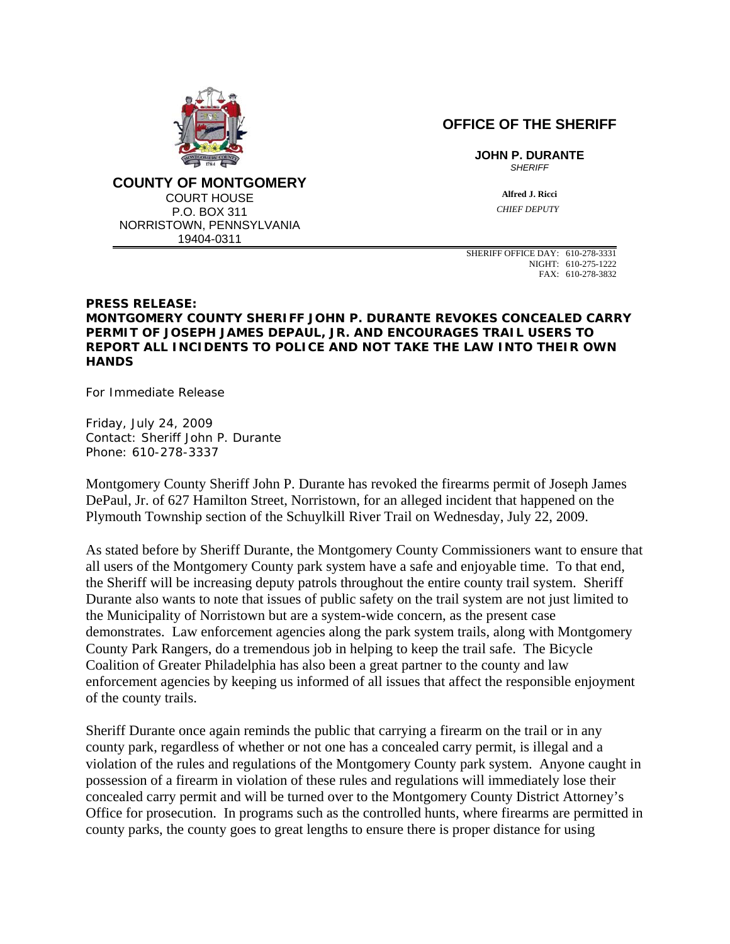

**COUNTY OF MONTGOMERY** COURT HOUSE P.O. BOX 311 NORRISTOWN, PENNSYLVANIA 19404-0311

**OFFICE OF THE SHERIFF**

**JOHN P. DURANTE** *SHERIFF*

> **Alfred J. Ricci**  *CHIEF DEPUTY*

SHERIFF OFFICE DAY: 610-278-3331 NIGHT: 610-275-1222 FAX: 610-278-3832

## **PRESS RELEASE: MONTGOMERY COUNTY SHERIFF JOHN P. DURANTE REVOKES CONCEALED CARRY PERMIT OF JOSEPH JAMES DEPAUL, JR. AND ENCOURAGES TRAIL USERS TO REPORT ALL INCIDENTS TO POLICE AND NOT TAKE THE LAW INTO THEIR OWN HANDS**

For Immediate Release

Friday, July 24, 2009 Contact: Sheriff John P. Durante Phone: 610-278-3337

Montgomery County Sheriff John P. Durante has revoked the firearms permit of Joseph James DePaul, Jr. of 627 Hamilton Street, Norristown, for an alleged incident that happened on the Plymouth Township section of the Schuylkill River Trail on Wednesday, July 22, 2009.

As stated before by Sheriff Durante, the Montgomery County Commissioners want to ensure that all users of the Montgomery County park system have a safe and enjoyable time. To that end, the Sheriff will be increasing deputy patrols throughout the entire county trail system. Sheriff Durante also wants to note that issues of public safety on the trail system are not just limited to the Municipality of Norristown but are a system-wide concern, as the present case demonstrates. Law enforcement agencies along the park system trails, along with Montgomery County Park Rangers, do a tremendous job in helping to keep the trail safe. The Bicycle Coalition of Greater Philadelphia has also been a great partner to the county and law enforcement agencies by keeping us informed of all issues that affect the responsible enjoyment of the county trails.

Sheriff Durante once again reminds the public that carrying a firearm on the trail or in any county park, regardless of whether or not one has a concealed carry permit, is illegal and a violation of the rules and regulations of the Montgomery County park system. Anyone caught in possession of a firearm in violation of these rules and regulations will immediately lose their concealed carry permit and will be turned over to the Montgomery County District Attorney's Office for prosecution. In programs such as the controlled hunts, where firearms are permitted in county parks, the county goes to great lengths to ensure there is proper distance for using